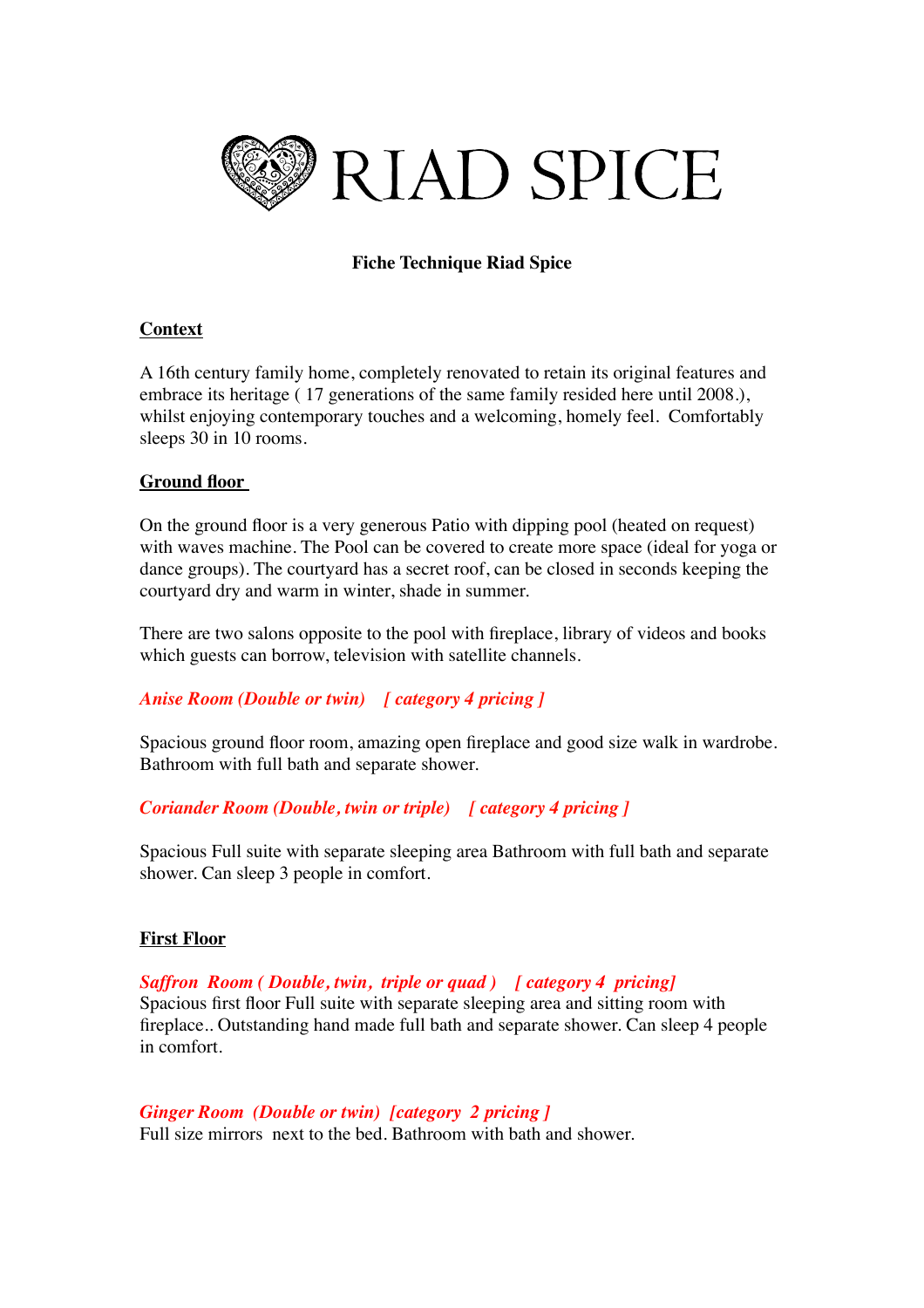

# **Fiche Technique Riad Spice**

## **Context**

A 16th century family home, completely renovated to retain its original features and embrace its heritage ( 17 generations of the same family resided here until 2008.), whilst enjoying contemporary touches and a welcoming, homely feel. Comfortably sleeps 30 in 10 rooms.

## **Ground floor**

On the ground floor is a very generous Patio with dipping pool (heated on request) with waves machine. The Pool can be covered to create more space (ideal for yoga or dance groups). The courtyard has a secret roof, can be closed in seconds keeping the courtyard dry and warm in winter, shade in summer.

There are two salons opposite to the pool with fireplace, library of videos and books which guests can borrow, television with satellite channels.

## *Anise Room (Double or twin) [ category 4 pricing ]*

Spacious ground floor room, amazing open fireplace and good size walk in wardrobe. Bathroom with full bath and separate shower.

## *Coriander Room (Double, twin or triple) [ category 4 pricing ]*

Spacious Full suite with separate sleeping area Bathroom with full bath and separate shower. Can sleep 3 people in comfort.

## **First Floor**

*Saffron Room ( Double, twin, triple or quad ) [ category 4 pricing]* Spacious first floor Full suite with separate sleeping area and sitting room with fireplace.. Outstanding hand made full bath and separate shower. Can sleep 4 people in comfort.

*Ginger Room (Double or twin) [category 2 pricing ]*  Full size mirrors next to the bed. Bathroom with bath and shower.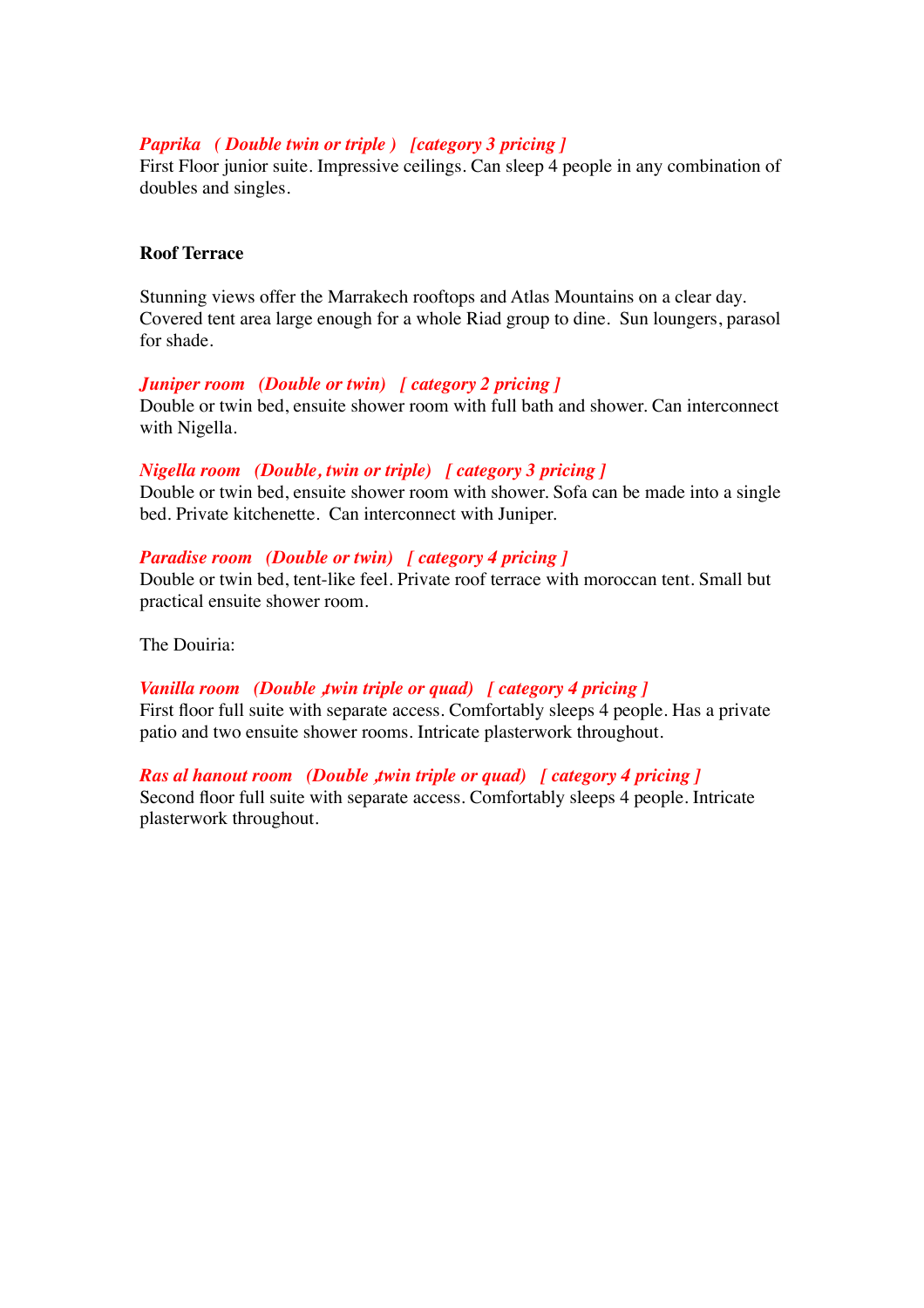## *Paprika ( Double twin or triple ) [category 3 pricing ]*

First Floor junior suite. Impressive ceilings. Can sleep 4 people in any combination of doubles and singles.

## **Roof Terrace**

Stunning views offer the Marrakech rooftops and Atlas Mountains on a clear day. Covered tent area large enough for a whole Riad group to dine. Sun loungers, parasol for shade.

#### *Juniper room (Double or twin) [ category 2 pricing ]*

Double or twin bed, ensuite shower room with full bath and shower. Can interconnect with Nigella.

#### *Nigella room (Double, twin or triple) [ category 3 pricing ]*

Double or twin bed, ensuite shower room with shower. Sofa can be made into a single bed. Private kitchenette. Can interconnect with Juniper.

#### *Paradise room (Double or twin) [ category 4 pricing ]*

Double or twin bed, tent-like feel. Private roof terrace with moroccan tent. Small but practical ensuite shower room.

The Douiria:

## *Vanilla room (Double ,twin triple or quad) [ category 4 pricing ]*

First floor full suite with separate access. Comfortably sleeps 4 people. Has a private patio and two ensuite shower rooms. Intricate plasterwork throughout.

*Ras al hanout room (Double ,twin triple or quad)* [ category 4 pricing ] Second floor full suite with separate access. Comfortably sleeps 4 people. Intricate plasterwork throughout.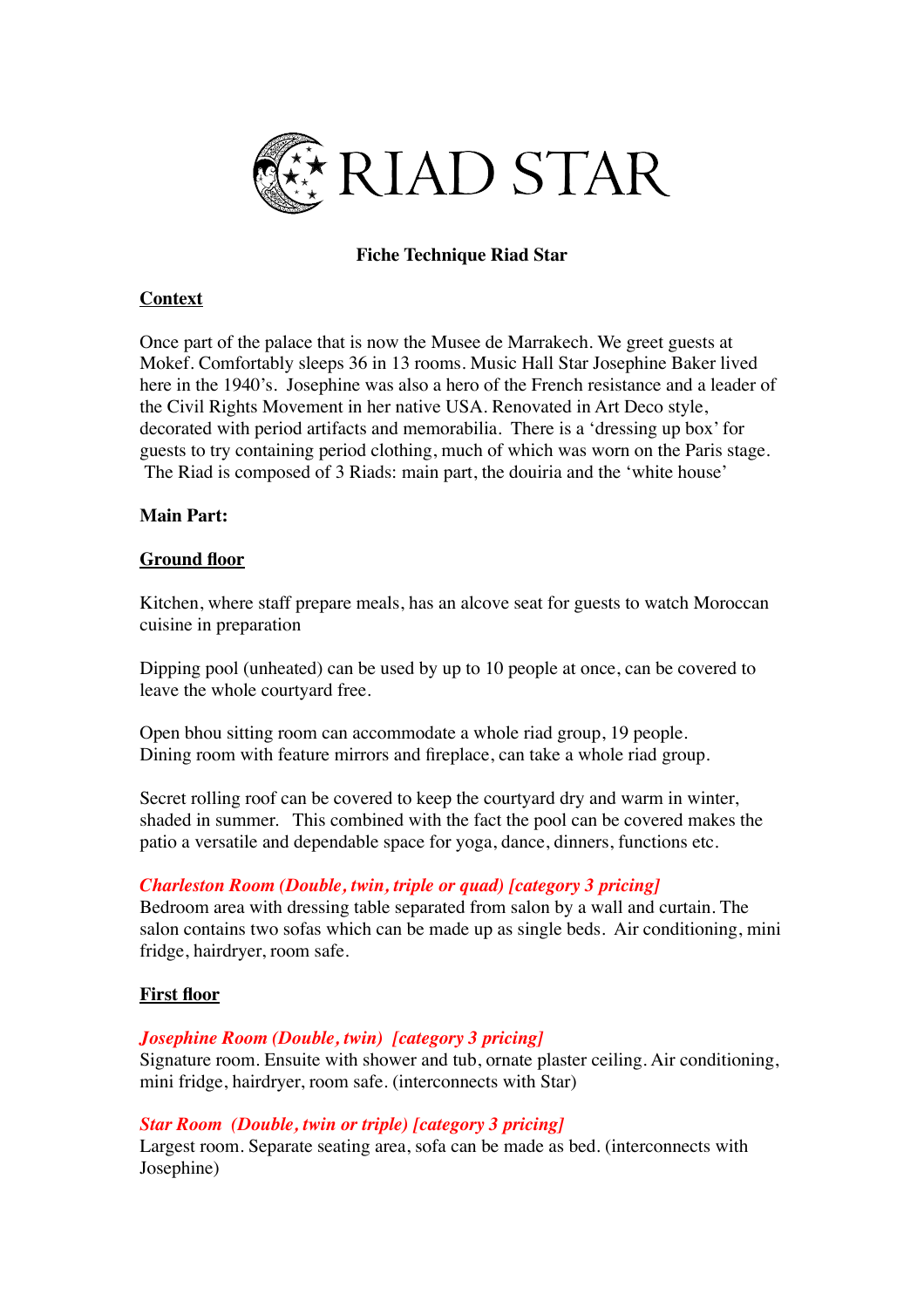

## **Fiche Technique Riad Star**

## **Context**

Once part of the palace that is now the Musee de Marrakech. We greet guests at Mokef. Comfortably sleeps 36 in 13 rooms. Music Hall Star Josephine Baker lived here in the 1940's. Josephine was also a hero of the French resistance and a leader of the Civil Rights Movement in her native USA. Renovated in Art Deco style, decorated with period artifacts and memorabilia. There is a 'dressing up box' for guests to try containing period clothing, much of which was worn on the Paris stage. The Riad is composed of 3 Riads: main part, the douiria and the 'white house'

### **Main Part:**

### **Ground floor**

Kitchen, where staff prepare meals, has an alcove seat for guests to watch Moroccan cuisine in preparation

Dipping pool (unheated) can be used by up to 10 people at once, can be covered to leave the whole courtyard free.

Open bhou sitting room can accommodate a whole riad group, 19 people. Dining room with feature mirrors and fireplace, can take a whole riad group.

Secret rolling roof can be covered to keep the courtyard dry and warm in winter, shaded in summer. This combined with the fact the pool can be covered makes the patio a versatile and dependable space for yoga, dance, dinners, functions etc.

## *Charleston Room (Double, twin, triple or quad) [category 3 pricing]*

Bedroom area with dressing table separated from salon by a wall and curtain. The salon contains two sofas which can be made up as single beds. Air conditioning, mini fridge, hairdryer, room safe.

#### **First floor**

## *Josephine Room (Double, twin) [category 3 pricing]*

Signature room. Ensuite with shower and tub, ornate plaster ceiling. Air conditioning, mini fridge, hairdryer, room safe. (interconnects with Star)

#### *Star Room (Double, twin or triple) [category 3 pricing]*

Largest room. Separate seating area, sofa can be made as bed. (interconnects with Josephine)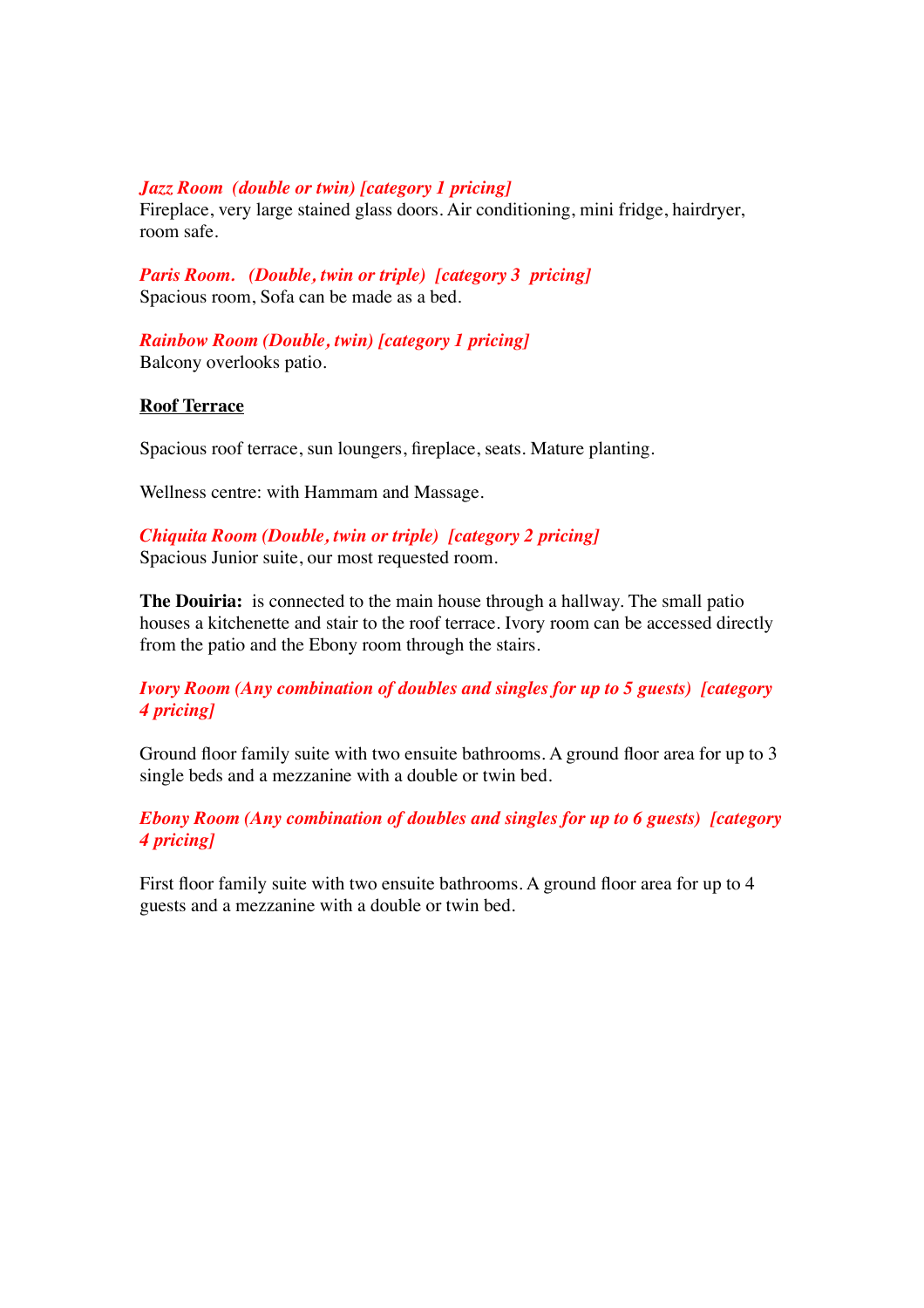### *Jazz Room (double or twin) [category 1 pricing]*

Fireplace, very large stained glass doors. Air conditioning, mini fridge, hairdryer, room safe.

*Paris Room. (Double, twin or triple) [category 3 pricing]* Spacious room, Sofa can be made as a bed.

*Rainbow Room (Double, twin) [category 1 pricing]*  Balcony overlooks patio.

### **Roof Terrace**

Spacious roof terrace, sun loungers, fireplace, seats. Mature planting.

Wellness centre: with Hammam and Massage.

*Chiquita Room (Double, twin or triple) [category 2 pricing]*  Spacious Junior suite, our most requested room.

**The Douiria:** is connected to the main house through a hallway. The small patio houses a kitchenette and stair to the roof terrace. Ivory room can be accessed directly from the patio and the Ebony room through the stairs.

*Ivory Room (Any combination of doubles and singles for up to 5 guests) [category 4 pricing]* 

Ground floor family suite with two ensuite bathrooms. A ground floor area for up to 3 single beds and a mezzanine with a double or twin bed.

*Ebony Room (Any combination of doubles and singles for up to 6 guests) [category 4 pricing]* 

First floor family suite with two ensuite bathrooms. A ground floor area for up to 4 guests and a mezzanine with a double or twin bed.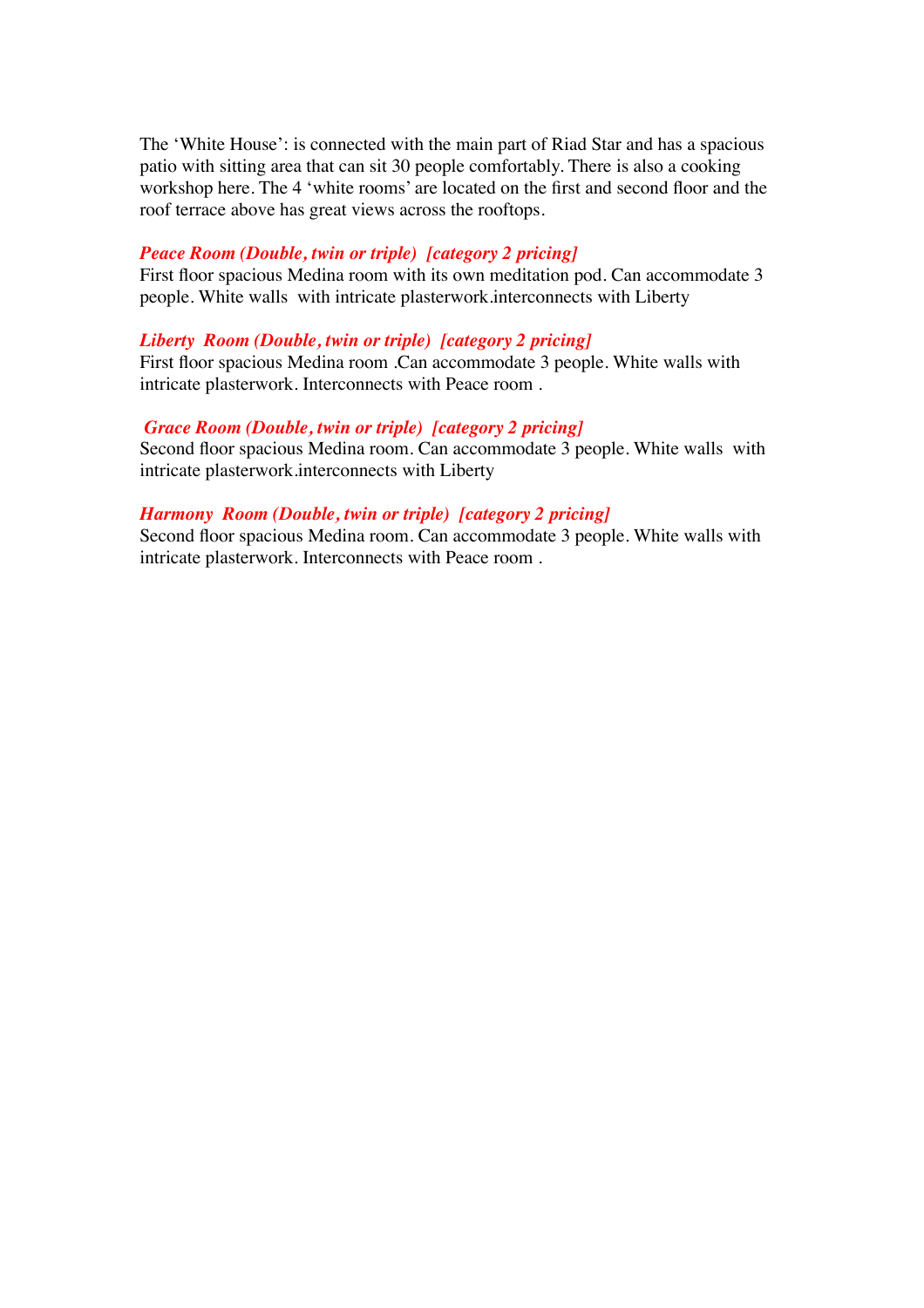The 'White House': is connected with the main part of Riad Star and has a spacious patio with sitting area that can sit 30 people comfortably. There is also a cooking workshop here. The 4 'white rooms' are located on the first and second floor and the roof terrace above has great views across the rooftops.

### *Peace Room (Double, twin or triple) [category 2 pricing]*

First floor spacious Medina room with its own meditation pod. Can accommodate 3 people. White walls with intricate plasterwork.interconnects with Liberty

## *Liberty Room (Double, twin or triple) [category 2 pricing]*

First floor spacious Medina room .Can accommodate 3 people. White walls with intricate plasterwork. Interconnects with Peace room .

#### *Grace Room (Double, twin or triple) [category 2 pricing]*

Second floor spacious Medina room. Can accommodate 3 people. White walls with intricate plasterwork.interconnects with Liberty

### *Harmony Room (Double, twin or triple) [category 2 pricing]*

Second floor spacious Medina room. Can accommodate 3 people. White walls with intricate plasterwork. Interconnects with Peace room .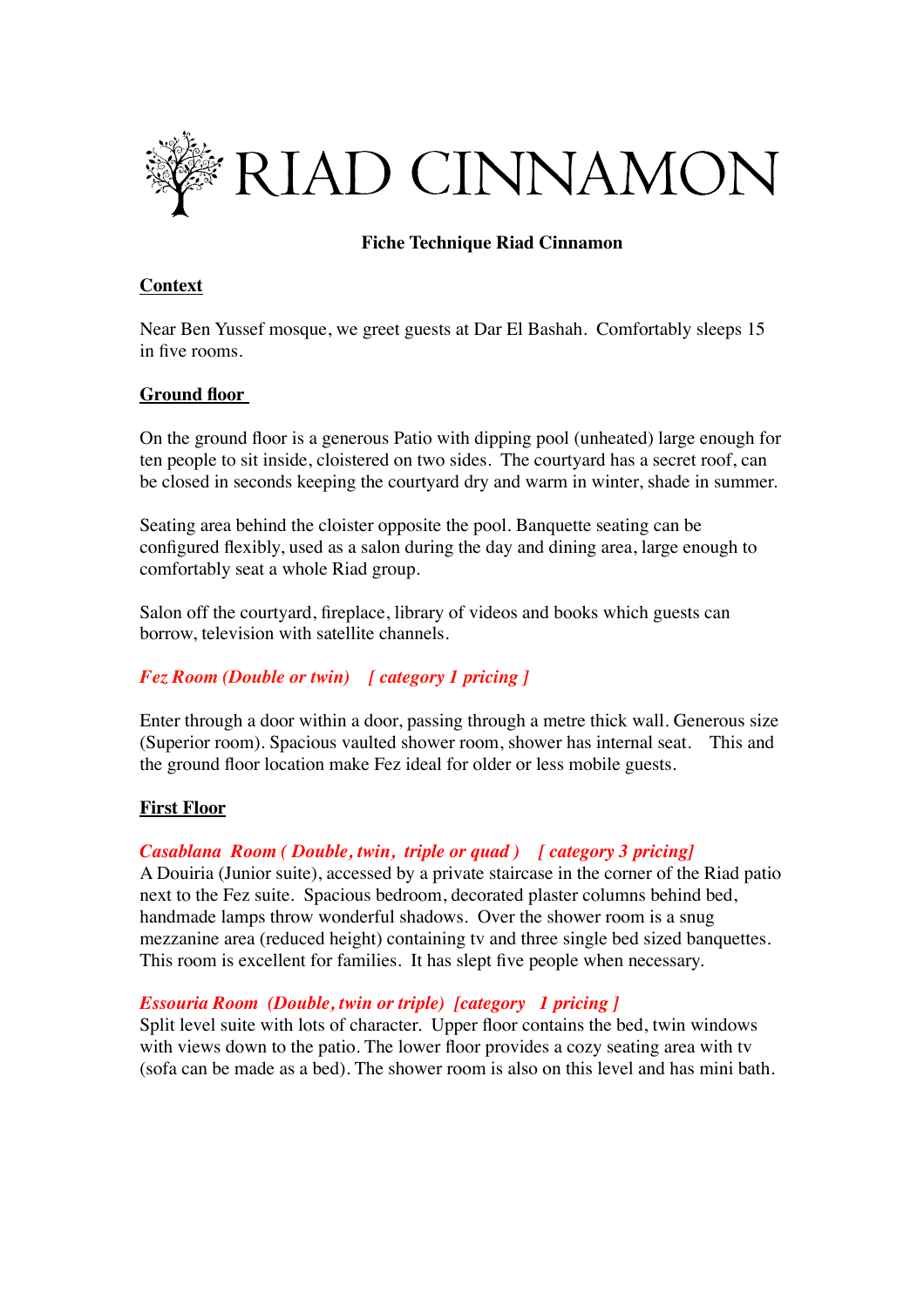

## **Fiche Technique Riad Cinnamon**

## **Context**

Near Ben Yussef mosque, we greet guests at Dar El Bashah. Comfortably sleeps 15 in five rooms.

## **Ground floor**

On the ground floor is a generous Patio with dipping pool (unheated) large enough for ten people to sit inside, cloistered on two sides. The courtyard has a secret roof, can be closed in seconds keeping the courtyard dry and warm in winter, shade in summer.

Seating area behind the cloister opposite the pool. Banquette seating can be configured flexibly, used as a salon during the day and dining area, large enough to comfortably seat a whole Riad group.

Salon off the courtyard, fireplace, library of videos and books which guests can borrow, television with satellite channels.

## *Fez Room (Double or twin) [ category 1 pricing ]*

Enter through a door within a door, passing through a metre thick wall. Generous size (Superior room). Spacious vaulted shower room, shower has internal seat. This and the ground floor location make Fez ideal for older or less mobile guests.

## **First Floor**

## *Casablana Room ( Double, twin, triple or quad ) [ category 3 pricing]*

A Douiria (Junior suite), accessed by a private staircase in the corner of the Riad patio next to the Fez suite. Spacious bedroom, decorated plaster columns behind bed, handmade lamps throw wonderful shadows. Over the shower room is a snug mezzanine area (reduced height) containing tv and three single bed sized banquettes. This room is excellent for families. It has slept five people when necessary.

## *Essouria Room (Double, twin or triple) [category 1 pricing ]*

Split level suite with lots of character. Upper floor contains the bed, twin windows with views down to the patio. The lower floor provides a cozy seating area with tv (sofa can be made as a bed). The shower room is also on this level and has mini bath.